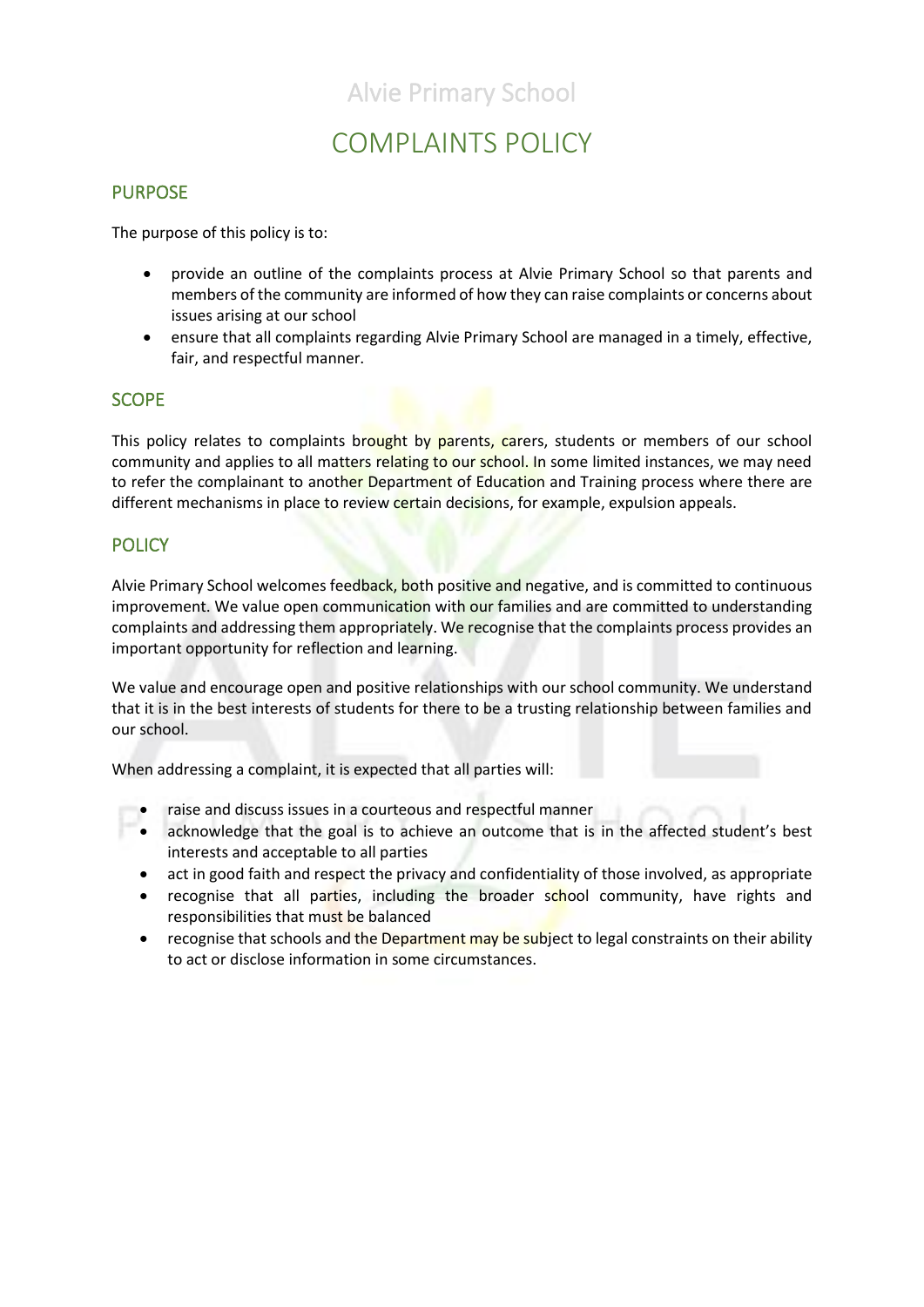## Alvie Primary School

# COMPLAINTS POLICY

### PURPOSE

The purpose of this policy is to:

- provide an outline of the complaints process at Alvie Primary School so that parents and members of the community are informed of how they can raise complaints or concerns about issues arising at our school
- ensure that all complaints regarding Alvie Primary School are managed in a timely, effective, fair, and respectful manner.

### **SCOPE**

This policy relates to complaints brought by parents, carers, students or members of our school community and applies to all matters relating to our school. In some limited instances, we may need to refer the complainant to another Department of Education and Training process where there are different mechanisms in place to review certain decisions, for example, expulsion appeals.

### **POLICY**

Alvie Primary School welcomes feedback, both positive and negative, and is committed to continuous improvement. We value open communication with our families and are committed to understanding complaints and addressing them appropriately. We recognise that the complaints process provides an important opportunity for reflection and learning.

We value and encourage open and positive relationships with our school community. We understand that it is in the best interests of students for there to be a trusting relationship between families and our school.

When addressing a complaint, it is expected that all parties will:

- raise and discuss issues in a courteous and respectful manner
- acknowledge that the goal is to achieve an outcome that is in the affected student's best interests and acceptable to all parties
- act in good faith and respect the privacy and confidentiality of those involved, as appropriate
- recognise that all parties, including the broader school community, have rights and responsibilities that must be balanced
- recognise that schools and the Department may be subject to legal constraints on their ability to act or disclose information in some circumstances.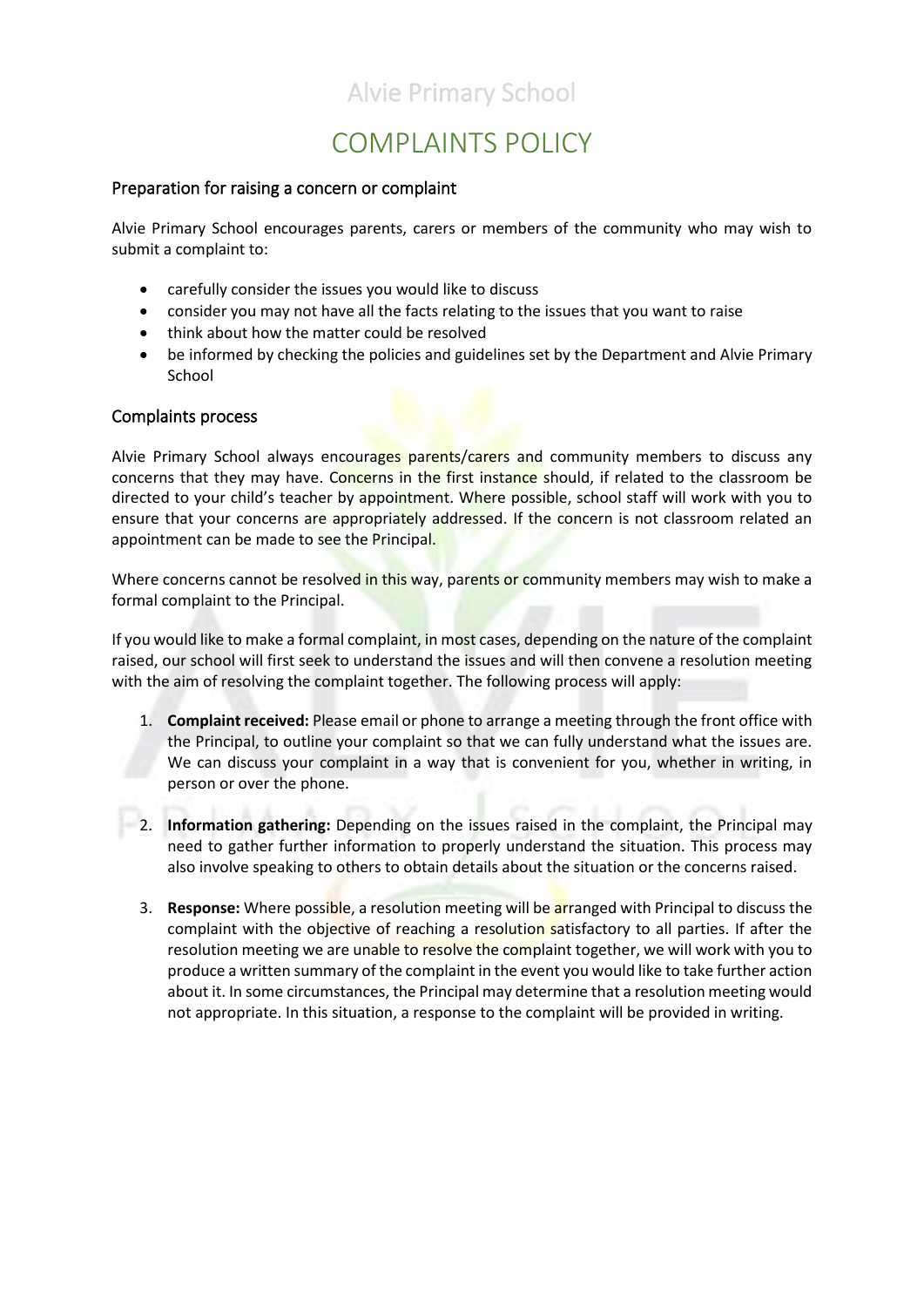# Alvie Primary School

# COMPLAINTS POLICY

#### Preparation for raising a concern or complaint

Alvie Primary School encourages parents, carers or members of the community who may wish to submit a complaint to:

- carefully consider the issues you would like to discuss
- consider you may not have all the facts relating to the issues that you want to raise
- think about how the matter could be resolved
- be informed by checking the policies and guidelines set by the Department and Alvie Primary **School**

#### Complaints process

Alvie Primary School always encourages parents/carers and community members to discuss any concerns that they may have. Concerns in the first instance should, if related to the classroom be directed to your child's teacher by appointment. Where possible, school staff will work with you to ensure that your concerns are appropriately addressed. If the concern is not classroom related an appointment can be made to see the Principal.

Where concerns cannot be resolved in this way, parents or community members may wish to make a formal complaint to the Principal.

If you would like to make a formal complaint, in most cases, depending on the nature of the complaint raised, our school will first seek to understand the issues and will then convene a resolution meeting with the aim of resolving the complaint together. The following process will apply:

- 1. **Complaint received:** Please email or phone to arrange a meeting through the front office with the Principal, to outline your complaint so that we can fully understand what the issues are. We can discuss your complaint in a way that is convenient for you, whether in writing, in person or over the phone.
- 2. **Information gathering:** Depending on the issues raised in the complaint, the Principal may need to gather further information to properly understand the situation. This process may also involve speaking to others to obtain details about the situation or the concerns raised.
- 3. **Response:** Where possible, a resolution meeting will be arranged with Principal to discuss the complaint with the objective of reaching a resolution satisfactory to all parties. If after the resolution meeting we are unable to resolve the complaint together, we will work with you to produce a written summary of the complaint in the event you would like to take further action about it. In some circumstances, the Principal may determine that a resolution meeting would not appropriate. In this situation, a response to the complaint will be provided in writing.